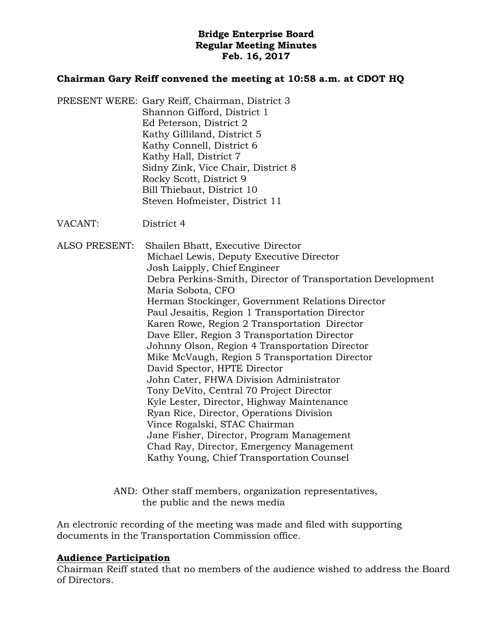## **Bridge Enterprise Board Regular Meeting Minutes Feb. 16, 2017**

#### **Chairman Gary Reiff convened the meeting at 10:58 a.m. at CDOT HQ**

- PRESENT WERE: Gary Reiff, Chairman, District 3 Shannon Gifford, District 1 Ed Peterson, District 2 Kathy Gilliland, District 5 Kathy Connell, District 6 Kathy Hall, District 7 Sidny Zink, Vice Chair, District 8 Rocky Scott, District 9 Bill Thiebaut, District 10 Steven Hofmeister, District 11
- VACANT: District 4

ALSO PRESENT: Shailen Bhatt, Executive Director Michael Lewis, Deputy Executive Director Josh Laipply, Chief Engineer Debra Perkins-Smith, Director of Transportation Development Maria Sobota, CFO Herman Stockinger, Government Relations Director Paul Jesaitis, Region 1 Transportation Director Karen Rowe, Region 2 Transportation Director Dave Eller, Region 3 Transportation Director Johnny Olson, Region 4 Transportation Director Mike McVaugh, Region 5 Transportation Director David Spector, HPTE Director John Cater, FHWA Division Administrator Tony DeVito, Central 70 Project Director Kyle Lester, Director, Highway Maintenance Ryan Rice, Director, Operations Division Vince Rogalski, STAC Chairman Jane Fisher, Director, Program Management Chad Ray, Director, Emergency Management Kathy Young, Chief Transportation Counsel

> AND: Other staff members, organization representatives, the public and the news media

An electronic recording of the meeting was made and filed with supporting documents in the Transportation Commission office.

#### **Audience Participation**

Chairman Reiff stated that no members of the audience wished to address the Board of Directors.